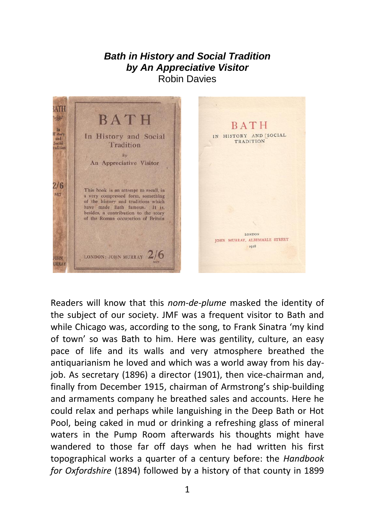## *Bath in History and Social Tradition by An Appreciative Visitor* Robin Davies



Readers will know that this *nom-de-plume* masked the identity of the subject of our society. JMF was a frequent visitor to Bath and while Chicago was, according to the song, to Frank Sinatra 'my kind of town' so was Bath to him. Here was gentility, culture, an easy pace of life and its walls and very atmosphere breathed the antiquarianism he loved and which was a world away from his dayjob. As secretary (1896) a director (1901), then vice-chairman and, finally from December 1915, chairman of Armstrong's ship-building and armaments company he breathed sales and accounts. Here he could relax and perhaps while languishing in the Deep Bath or Hot Pool, being caked in mud or drinking a refreshing glass of mineral waters in the Pump Room afterwards his thoughts might have wandered to those far off days when he had written his first topographical works a quarter of a century before: the *Handbook for Oxfordshire* (1894) followed by a history of that county in 1899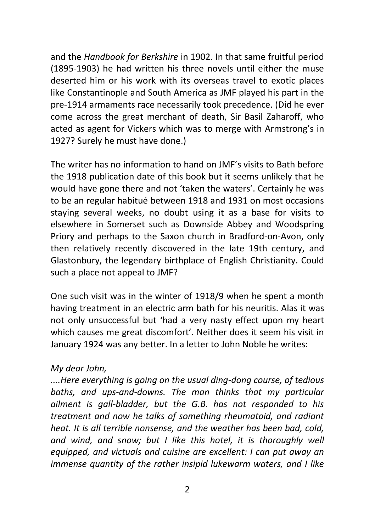and the *Handbook for Berkshire* in 1902. In that same fruitful period (1895-1903) he had written his three novels until either the muse deserted him or his work with its overseas travel to exotic places like Constantinople and South America as JMF played his part in the pre-1914 armaments race necessarily took precedence. (Did he ever come across the great merchant of death, Sir Basil Zaharoff, who acted as agent for Vickers which was to merge with Armstrong's in 1927? Surely he must have done.)

The writer has no information to hand on JMF's visits to Bath before the 1918 publication date of this book but it seems unlikely that he would have gone there and not 'taken the waters'. Certainly he was to be an regular habitué between 1918 and 1931 on most occasions staying several weeks, no doubt using it as a base for visits to elsewhere in Somerset such as Downside Abbey and Woodspring Priory and perhaps to the Saxon church in Bradford-on-Avon, only then relatively recently discovered in the late 19th century, and Glastonbury, the legendary birthplace of English Christianity. Could such a place not appeal to JMF?

One such visit was in the winter of 1918/9 when he spent a month having treatment in an electric arm bath for his neuritis. Alas it was not only unsuccessful but 'had a very nasty effect upon my heart which causes me great discomfort'. Neither does it seem his visit in January 1924 was any better. In a letter to John Noble he writes:

## *My dear John,*

*....Here everything is going on the usual ding-dong course, of tedious baths, and ups-and-downs. The man thinks that my particular ailment is gall-bladder, but the G.B. has not responded to his treatment and now he talks of something rheumatoid, and radiant heat. It is all terrible nonsense, and the weather has been bad, cold, and wind, and snow; but I like this hotel, it is thoroughly well equipped, and victuals and cuisine are excellent: I can put away an immense quantity of the rather insipid lukewarm waters, and I like*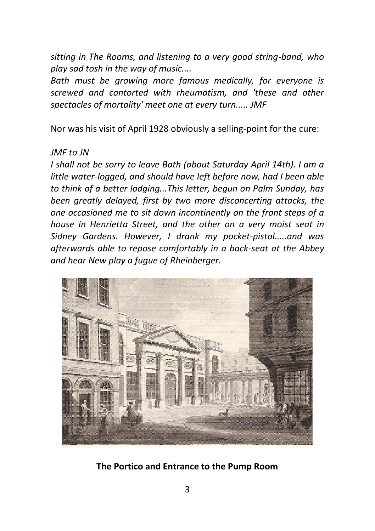*sitting in The Rooms, and listening to a very good string-band, who play sad tosh in the way of music....*

*Bath must be growing more famous medically, for everyone is screwed and contorted with rheumatism, and 'these and other spectacles of mortality' meet one at every turn..... JMF*

Nor was his visit of April 1928 obviously a selling-point for the cure:

## *JMF to JN*

*I shall not be sorry to leave Bath (about Saturday April 14th). I am a little water-logged, and should have left before now, had I been able to think of a better lodging...This letter, begun on Palm Sunday, has been greatly delayed, first by two more disconcerting attacks, the one occasioned me to sit down incontinently on the front steps of a house in Henrietta Street, and the other on a very moist seat in Sidney Gardens. However, I drank my pocket-pistol.....and was afterwards able to repose comfortably in a back-seat at the Abbey and hear New play a fugue of Rheinberger.*



**The Portico and Entrance to the Pump Room**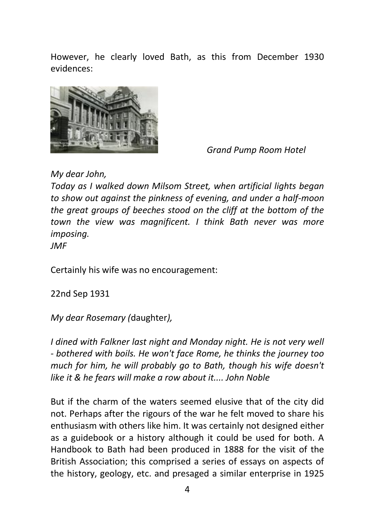However, he clearly loved Bath, as this from December 1930 evidences:



*Grand Pump Room Hotel*

*My dear John,*

*Today as I walked down Milsom Street, when artificial lights began to show out against the pinkness of evening, and under a half-moon the great groups of beeches stood on the cliff at the bottom of the town the view was magnificent. I think Bath never was more imposing.*

*JMF*

Certainly his wife was no encouragement:

22nd Sep 1931

*My dear Rosemary (*daughter*),*

*I dined with Falkner last night and Monday night. He is not very well - bothered with boils. He won't face Rome, he thinks the journey too much for him, he will probably go to Bath, though his wife doesn't like it & he fears will make a row about it.... John Noble* 

But if the charm of the waters seemed elusive that of the city did not. Perhaps after the rigours of the war he felt moved to share his enthusiasm with others like him. It was certainly not designed either as a guidebook or a history although it could be used for both. A Handbook to Bath had been produced in 1888 for the visit of the British Association; this comprised a series of essays on aspects of the history, geology, etc. and presaged a similar enterprise in 1925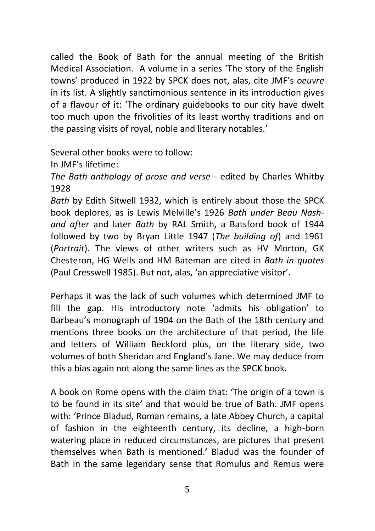called the Book of Bath for the annual meeting of the British Medical Association. A volume in a series 'The story of the English towns' produced in 1922 by SPCK does not, alas, cite JMF's *oeuvre* in its list. A slightly sanctimonious sentence in its introduction gives of a flavour of it: 'The ordinary guidebooks to our city have dwelt too much upon the frivolities of its least worthy traditions and on the passing visits of royal, noble and literary notables.'

Several other books were to follow:

In JMF's lifetime:

*The Bath anthology of prose and verse* - edited by Charles Whitby 1928

*Bath* by Edith Sitwell 1932, which is entirely about those the SPCK book deplores, as is Lewis Melville's 1926 *Bath under Beau Nashand after* and later *Bath* by RAL Smith, a Batsford book of 1944 followed by two by Bryan Little 1947 (*The building of*) and 1961 (*Portrait*). The views of other writers such as HV Morton, GK Chesteron, HG Wells and HM Bateman are cited in *Bath in quotes* (Paul Cresswell 1985). But not, alas, 'an appreciative visitor'.

Perhaps it was the lack of such volumes which determined JMF to fill the gap. His introductory note 'admits his obligation' to Barbeau's monograph of 1904 on the Bath of the 18th century and mentions three books on the architecture of that period, the life and letters of William Beckford plus, on the literary side, two volumes of both Sheridan and England's Jane. We may deduce from this a bias again not along the same lines as the SPCK book.

A book on Rome opens with the claim that: 'The origin of a town is to be found in its site' and that would be true of Bath. JMF opens with: 'Prince Bladud, Roman remains, a late Abbey Church, a capital of fashion in the eighteenth century, its decline, a high-born watering place in reduced circumstances, are pictures that present themselves when Bath is mentioned.' Bladud was the founder of Bath in the same legendary sense that Romulus and Remus were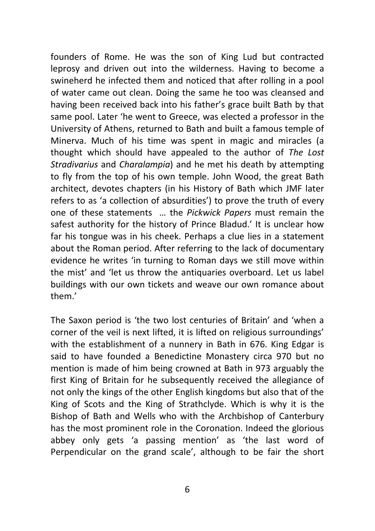founders of Rome. He was the son of King Lud but contracted leprosy and driven out into the wilderness. Having to become a swineherd he infected them and noticed that after rolling in a pool of water came out clean. Doing the same he too was cleansed and having been received back into his father's grace built Bath by that same pool. Later 'he went to Greece, was elected a professor in the University of Athens, returned to Bath and built a famous temple of Minerva. Much of his time was spent in magic and miracles (a thought which should have appealed to the author of *The Lost Stradivarius* and *Charalampia*) and he met his death by attempting to fly from the top of his own temple. John Wood, the great Bath architect, devotes chapters (in his History of Bath which JMF later refers to as 'a collection of absurdities') to prove the truth of every one of these statements … the *Pickwick Papers* must remain the safest authority for the history of Prince Bladud.' It is unclear how far his tongue was in his cheek. Perhaps a clue lies in a statement about the Roman period. After referring to the lack of documentary evidence he writes 'in turning to Roman days we still move within the mist' and 'let us throw the antiquaries overboard. Let us label buildings with our own tickets and weave our own romance about them.'

The Saxon period is 'the two lost centuries of Britain' and 'when a corner of the veil is next lifted, it is lifted on religious surroundings' with the establishment of a nunnery in Bath in 676. King Edgar is said to have founded a Benedictine Monastery circa 970 but no mention is made of him being crowned at Bath in 973 arguably the first King of Britain for he subsequently received the allegiance of not only the kings of the other English kingdoms but also that of the King of Scots and the King of Strathclyde. Which is why it is the Bishop of Bath and Wells who with the Archbishop of Canterbury has the most prominent role in the Coronation. Indeed the glorious abbey only gets 'a passing mention' as 'the last word of Perpendicular on the grand scale', although to be fair the short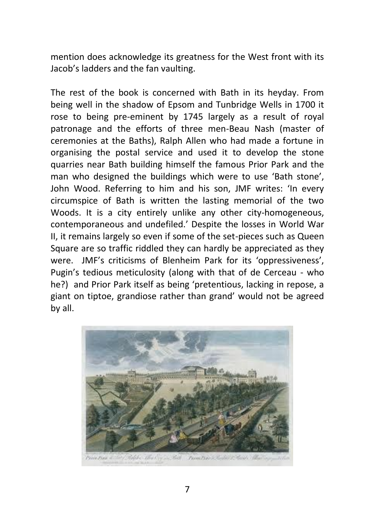mention does acknowledge its greatness for the West front with its Jacob's ladders and the fan vaulting.

The rest of the book is concerned with Bath in its heyday. From being well in the shadow of Epsom and Tunbridge Wells in 1700 it rose to being pre-eminent by 1745 largely as a result of royal patronage and the efforts of three men-Beau Nash (master of ceremonies at the Baths), Ralph Allen who had made a fortune in organising the postal service and used it to develop the stone quarries near Bath building himself the famous Prior Park and the man who designed the buildings which were to use 'Bath stone', John Wood. Referring to him and his son, JMF writes: 'In every circumspice of Bath is written the lasting memorial of the two Woods. It is a city entirely unlike any other city-homogeneous, contemporaneous and undefiled.' Despite the losses in World War II, it remains largely so even if some of the set-pieces such as Queen Square are so traffic riddled they can hardly be appreciated as they were. JMF's criticisms of Blenheim Park for its 'oppressiveness', Pugin's tedious meticulosity (along with that of de Cerceau - who he?) and Prior Park itself as being 'pretentious, lacking in repose, a giant on tiptoe, grandiose rather than grand' would not be agreed by all.

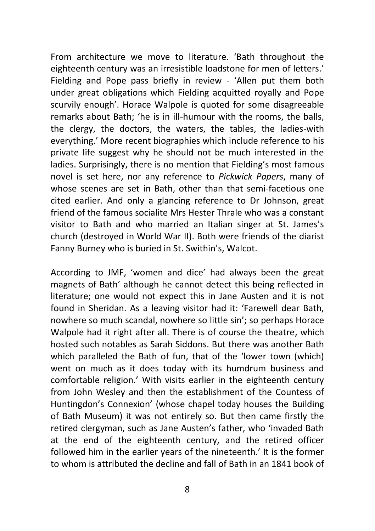From architecture we move to literature. 'Bath throughout the eighteenth century was an irresistible loadstone for men of letters.' Fielding and Pope pass briefly in review - 'Allen put them both under great obligations which Fielding acquitted royally and Pope scurvily enough'. Horace Walpole is quoted for some disagreeable remarks about Bath; 'he is in ill-humour with the rooms, the balls, the clergy, the doctors, the waters, the tables, the ladies-with everything.' More recent biographies which include reference to his private life suggest why he should not be much interested in the ladies. Surprisingly, there is no mention that Fielding's most famous novel is set here, nor any reference to *Pickwick Papers*, many of whose scenes are set in Bath, other than that semi-facetious one cited earlier. And only a glancing reference to Dr Johnson, great friend of the famous socialite Mrs Hester Thrale who was a constant visitor to Bath and who married an Italian singer at St. James's church (destroyed in World War II). Both were friends of the diarist Fanny Burney who is buried in St. Swithin's, Walcot.

According to JMF, 'women and dice' had always been the great magnets of Bath' although he cannot detect this being reflected in literature; one would not expect this in Jane Austen and it is not found in Sheridan. As a leaving visitor had it: 'Farewell dear Bath, nowhere so much scandal, nowhere so little sin'; so perhaps Horace Walpole had it right after all. There is of course the theatre, which hosted such notables as Sarah Siddons. But there was another Bath which paralleled the Bath of fun, that of the 'lower town (which) went on much as it does today with its humdrum business and comfortable religion.' With visits earlier in the eighteenth century from John Wesley and then the establishment of the Countess of Huntingdon's Connexion' (whose chapel today houses the Building of Bath Museum) it was not entirely so. But then came firstly the retired clergyman, such as Jane Austen's father, who 'invaded Bath at the end of the eighteenth century, and the retired officer followed him in the earlier years of the nineteenth.' It is the former to whom is attributed the decline and fall of Bath in an 1841 book of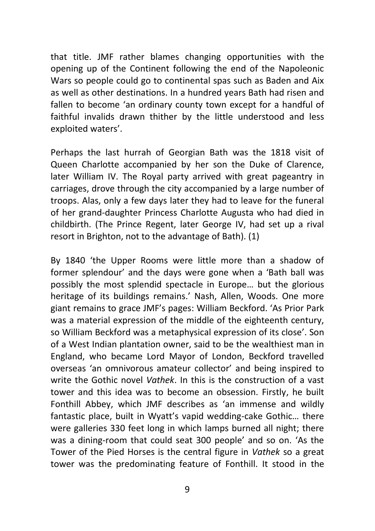that title. JMF rather blames changing opportunities with the opening up of the Continent following the end of the Napoleonic Wars so people could go to continental spas such as Baden and Aix as well as other destinations. In a hundred years Bath had risen and fallen to become 'an ordinary county town except for a handful of faithful invalids drawn thither by the little understood and less exploited waters'.

Perhaps the last hurrah of Georgian Bath was the 1818 visit of Queen Charlotte accompanied by her son the Duke of Clarence, later William IV. The Royal party arrived with great pageantry in carriages, drove through the city accompanied by a large number of troops. Alas, only a few days later they had to leave for the funeral of her grand-daughter Princess Charlotte Augusta who had died in childbirth. (The Prince Regent, later George IV, had set up a rival resort in Brighton, not to the advantage of Bath). (1)

By 1840 'the Upper Rooms were little more than a shadow of former splendour' and the days were gone when a 'Bath ball was possibly the most splendid spectacle in Europe… but the glorious heritage of its buildings remains.' Nash, Allen, Woods. One more giant remains to grace JMF's pages: William Beckford. 'As Prior Park was a material expression of the middle of the eighteenth century, so William Beckford was a metaphysical expression of its close'. Son of a West Indian plantation owner, said to be the wealthiest man in England, who became Lord Mayor of London, Beckford travelled overseas 'an omnivorous amateur collector' and being inspired to write the Gothic novel *Vathek*. In this is the construction of a vast tower and this idea was to become an obsession. Firstly, he built Fonthill Abbey, which JMF describes as 'an immense and wildly fantastic place, built in Wyatt's vapid wedding-cake Gothic… there were galleries 330 feet long in which lamps burned all night; there was a dining-room that could seat 300 people' and so on. 'As the Tower of the Pied Horses is the central figure in *Vathek* so a great tower was the predominating feature of Fonthill. It stood in the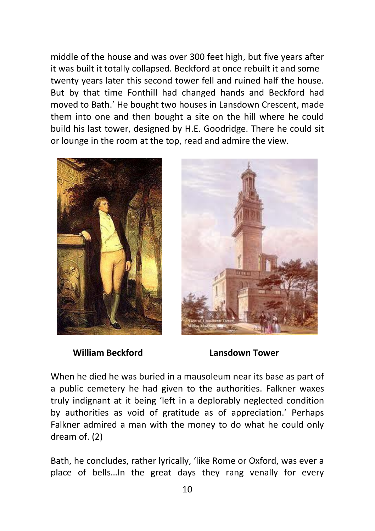middle of the house and was over 300 feet high, but five years after it was built it totally collapsed. Beckford at once rebuilt it and some twenty years later this second tower fell and ruined half the house. But by that time Fonthill had changed hands and Beckford had moved to Bath.' He bought two houses in Lansdown Crescent, made them into one and then bought a site on the hill where he could build his last tower, designed by H.E. Goodridge. There he could sit or lounge in the room at the top, read and admire the view.





 **William Beckford Lansdown Tower**

When he died he was buried in a mausoleum near its base as part of a public cemetery he had given to the authorities. Falkner waxes truly indignant at it being 'left in a deplorably neglected condition by authorities as void of gratitude as of appreciation.' Perhaps Falkner admired a man with the money to do what he could only dream of. (2)

Bath, he concludes, rather lyrically, 'like Rome or Oxford, was ever a place of bells…In the great days they rang venally for every